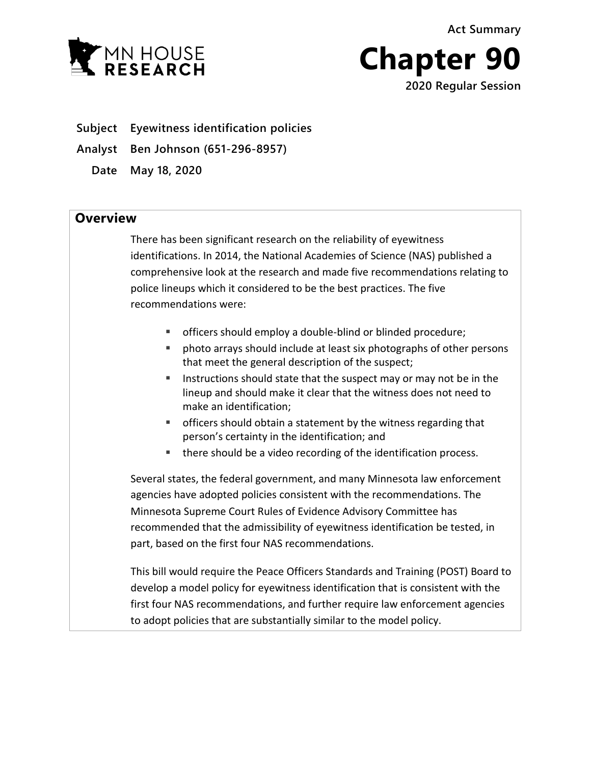**Act Summary**



**Chapter 90**

**2020 Regular Session**

**Subject Eyewitness identification policies**

**Analyst Ben Johnson (651-296-8957)**

**Date May 18, 2020**

## **Overview**

There has been significant research on the reliability of eyewitness identifications. In 2014, the National Academies of Science (NAS) published a comprehensive look at the research and made five recommendations relating to police lineups which it considered to be the best practices. The five recommendations were:

- officers should employ a double-blind or blinded procedure;
- photo arrays should include at least six photographs of other persons that meet the general description of the suspect;
- **IF Instructions should state that the suspect may or may not be in the** lineup and should make it clear that the witness does not need to make an identification;
- officers should obtain a statement by the witness regarding that person's certainty in the identification; and
- there should be a video recording of the identification process.

Several states, the federal government, and many Minnesota law enforcement agencies have adopted policies consistent with the recommendations. The Minnesota Supreme Court Rules of Evidence Advisory Committee has recommended that the admissibility of eyewitness identification be tested, in part, based on the first four NAS recommendations.

This bill would require the Peace Officers Standards and Training (POST) Board to develop a model policy for eyewitness identification that is consistent with the first four NAS recommendations, and further require law enforcement agencies to adopt policies that are substantially similar to the model policy.